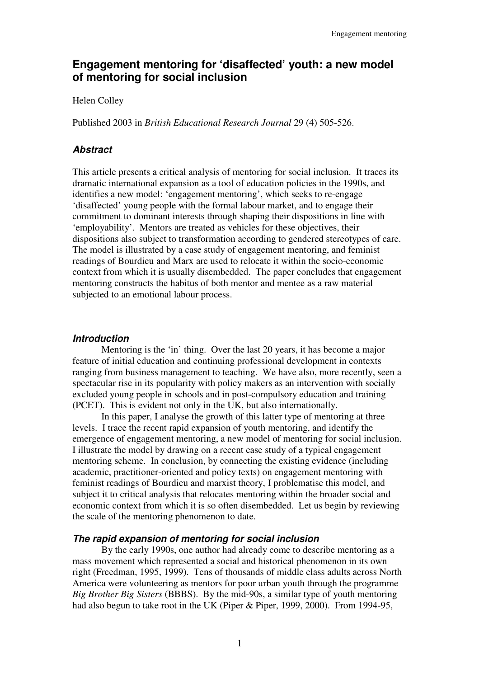# **Engagement mentoring for 'disaffected' youth: a new model of mentoring for social inclusion**

Helen Colley

Published 2003 in *British Educational Research Journal* 29 (4) 505-526.

# **Abstract**

This article presents a critical analysis of mentoring for social inclusion. It traces its dramatic international expansion as a tool of education policies in the 1990s, and identifies a new model: 'engagement mentoring', which seeks to re-engage 'disaffected' young people with the formal labour market, and to engage their commitment to dominant interests through shaping their dispositions in line with 'employability'. Mentors are treated as vehicles for these objectives, their dispositions also subject to transformation according to gendered stereotypes of care. The model is illustrated by a case study of engagement mentoring, and feminist readings of Bourdieu and Marx are used to relocate it within the socio-economic context from which it is usually disembedded. The paper concludes that engagement mentoring constructs the habitus of both mentor and mentee as a raw material subjected to an emotional labour process.

#### **Introduction**

 Mentoring is the 'in' thing. Over the last 20 years, it has become a major feature of initial education and continuing professional development in contexts ranging from business management to teaching. We have also, more recently, seen a spectacular rise in its popularity with policy makers as an intervention with socially excluded young people in schools and in post-compulsory education and training (PCET). This is evident not only in the UK, but also internationally.

 In this paper, I analyse the growth of this latter type of mentoring at three levels. I trace the recent rapid expansion of youth mentoring, and identify the emergence of engagement mentoring, a new model of mentoring for social inclusion. I illustrate the model by drawing on a recent case study of a typical engagement mentoring scheme. In conclusion, by connecting the existing evidence (including academic, practitioner-oriented and policy texts) on engagement mentoring with feminist readings of Bourdieu and marxist theory, I problematise this model, and subject it to critical analysis that relocates mentoring within the broader social and economic context from which it is so often disembedded. Let us begin by reviewing the scale of the mentoring phenomenon to date.

#### **The rapid expansion of mentoring for social inclusion**

 By the early 1990s, one author had already come to describe mentoring as a mass movement which represented a social and historical phenomenon in its own right (Freedman, 1995, 1999). Tens of thousands of middle class adults across North America were volunteering as mentors for poor urban youth through the programme *Big Brother Big Sisters* (BBBS). By the mid-90s, a similar type of youth mentoring had also begun to take root in the UK (Piper & Piper, 1999, 2000). From 1994-95,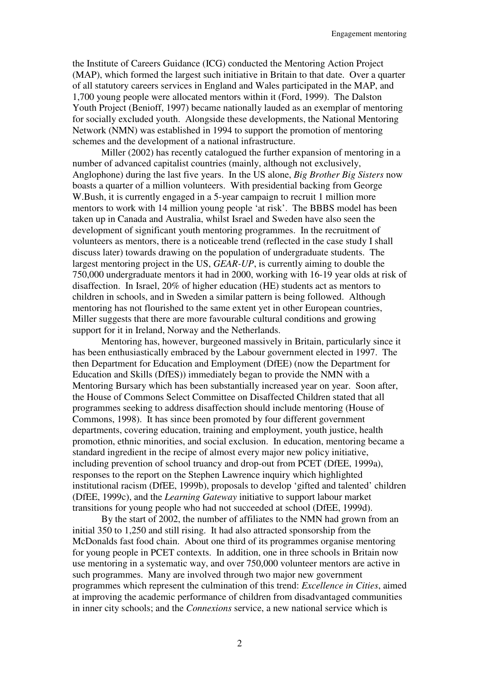the Institute of Careers Guidance (ICG) conducted the Mentoring Action Project (MAP), which formed the largest such initiative in Britain to that date. Over a quarter of all statutory careers services in England and Wales participated in the MAP, and 1,700 young people were allocated mentors within it (Ford, 1999). The Dalston Youth Project (Benioff, 1997) became nationally lauded as an exemplar of mentoring for socially excluded youth. Alongside these developments, the National Mentoring Network (NMN) was established in 1994 to support the promotion of mentoring schemes and the development of a national infrastructure.

Miller (2002) has recently catalogued the further expansion of mentoring in a number of advanced capitalist countries (mainly, although not exclusively, Anglophone) during the last five years. In the US alone, *Big Brother Big Sisters* now boasts a quarter of a million volunteers. With presidential backing from George W.Bush, it is currently engaged in a 5-year campaign to recruit 1 million more mentors to work with 14 million young people 'at risk'. The BBBS model has been taken up in Canada and Australia, whilst Israel and Sweden have also seen the development of significant youth mentoring programmes. In the recruitment of volunteers as mentors, there is a noticeable trend (reflected in the case study I shall discuss later) towards drawing on the population of undergraduate students. The largest mentoring project in the US, *GEAR-UP*, is currently aiming to double the 750,000 undergraduate mentors it had in 2000, working with 16-19 year olds at risk of disaffection. In Israel, 20% of higher education (HE) students act as mentors to children in schools, and in Sweden a similar pattern is being followed. Although mentoring has not flourished to the same extent yet in other European countries, Miller suggests that there are more favourable cultural conditions and growing support for it in Ireland, Norway and the Netherlands.

Mentoring has, however, burgeoned massively in Britain, particularly since it has been enthusiastically embraced by the Labour government elected in 1997. The then Department for Education and Employment (DfEE) (now the Department for Education and Skills (DfES)) immediately began to provide the NMN with a Mentoring Bursary which has been substantially increased year on year. Soon after, the House of Commons Select Committee on Disaffected Children stated that all programmes seeking to address disaffection should include mentoring (House of Commons, 1998). It has since been promoted by four different government departments, covering education, training and employment, youth justice, health promotion, ethnic minorities, and social exclusion. In education, mentoring became a standard ingredient in the recipe of almost every major new policy initiative, including prevention of school truancy and drop-out from PCET (DfEE, 1999a), responses to the report on the Stephen Lawrence inquiry which highlighted institutional racism (DfEE, 1999b), proposals to develop 'gifted and talented' children (DfEE, 1999c), and the *Learning Gateway* initiative to support labour market transitions for young people who had not succeeded at school (DfEE, 1999d).

By the start of 2002, the number of affiliates to the NMN had grown from an initial 350 to 1,250 and still rising. It had also attracted sponsorship from the McDonalds fast food chain. About one third of its programmes organise mentoring for young people in PCET contexts. In addition, one in three schools in Britain now use mentoring in a systematic way, and over 750,000 volunteer mentors are active in such programmes. Many are involved through two major new government programmes which represent the culmination of this trend: *Excellence in Cities*, aimed at improving the academic performance of children from disadvantaged communities in inner city schools; and the *Connexions* service, a new national service which is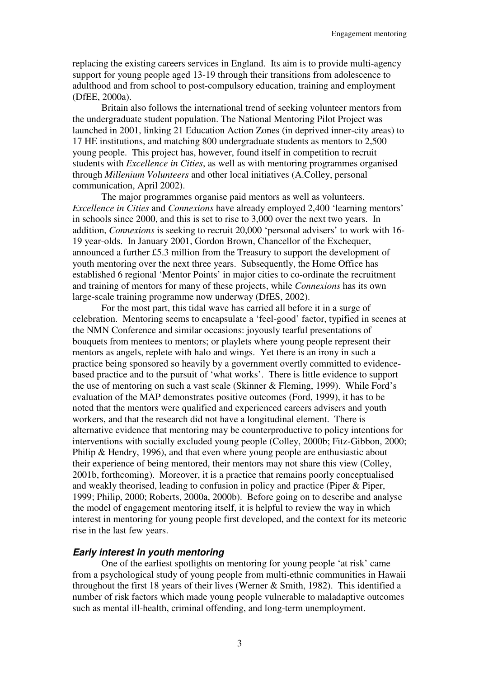replacing the existing careers services in England. Its aim is to provide multi-agency support for young people aged 13-19 through their transitions from adolescence to adulthood and from school to post-compulsory education, training and employment (DfEE, 2000a).

Britain also follows the international trend of seeking volunteer mentors from the undergraduate student population. The National Mentoring Pilot Project was launched in 2001, linking 21 Education Action Zones (in deprived inner-city areas) to 17 HE institutions, and matching 800 undergraduate students as mentors to 2,500 young people. This project has, however, found itself in competition to recruit students with *Excellence in Cities*, as well as with mentoring programmes organised through *Millenium Volunteers* and other local initiatives (A.Colley, personal communication, April 2002).

The major programmes organise paid mentors as well as volunteers. *Excellence in Cities* and *Connexions* have already employed 2,400 'learning mentors' in schools since 2000, and this is set to rise to 3,000 over the next two years. In addition, *Connexions* is seeking to recruit 20,000 'personal advisers' to work with 16- 19 year-olds. In January 2001, Gordon Brown, Chancellor of the Exchequer, announced a further £5.3 million from the Treasury to support the development of youth mentoring over the next three years. Subsequently, the Home Office has established 6 regional 'Mentor Points' in major cities to co-ordinate the recruitment and training of mentors for many of these projects, while *Connexions* has its own large-scale training programme now underway (DfES, 2002).

For the most part, this tidal wave has carried all before it in a surge of celebration. Mentoring seems to encapsulate a 'feel-good' factor, typified in scenes at the NMN Conference and similar occasions: joyously tearful presentations of bouquets from mentees to mentors; or playlets where young people represent their mentors as angels, replete with halo and wings. Yet there is an irony in such a practice being sponsored so heavily by a government overtly committed to evidencebased practice and to the pursuit of 'what works'. There is little evidence to support the use of mentoring on such a vast scale (Skinner & Fleming, 1999). While Ford's evaluation of the MAP demonstrates positive outcomes (Ford, 1999), it has to be noted that the mentors were qualified and experienced careers advisers and youth workers, and that the research did not have a longitudinal element. There is alternative evidence that mentoring may be counterproductive to policy intentions for interventions with socially excluded young people (Colley, 2000b; Fitz-Gibbon, 2000; Philip & Hendry, 1996), and that even where young people are enthusiastic about their experience of being mentored, their mentors may not share this view (Colley, 2001b, forthcoming). Moreover, it is a practice that remains poorly conceptualised and weakly theorised, leading to confusion in policy and practice (Piper & Piper, 1999; Philip, 2000; Roberts, 2000a, 2000b). Before going on to describe and analyse the model of engagement mentoring itself, it is helpful to review the way in which interest in mentoring for young people first developed, and the context for its meteoric rise in the last few years.

### **Early interest in youth mentoring**

One of the earliest spotlights on mentoring for young people 'at risk' came from a psychological study of young people from multi-ethnic communities in Hawaii throughout the first 18 years of their lives (Werner & Smith, 1982). This identified a number of risk factors which made young people vulnerable to maladaptive outcomes such as mental ill-health, criminal offending, and long-term unemployment.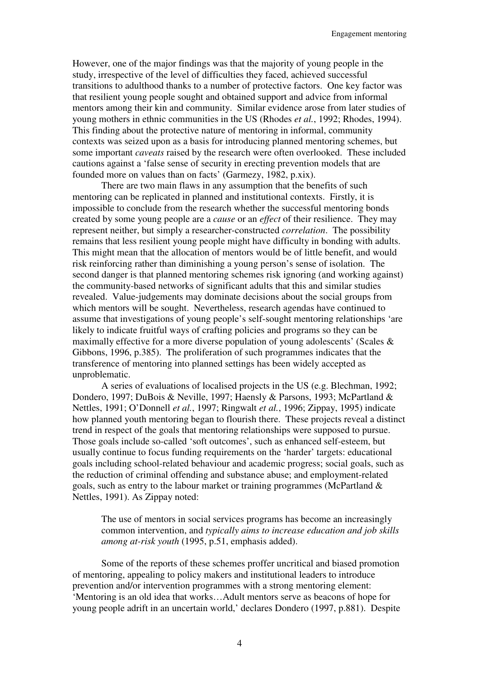However, one of the major findings was that the majority of young people in the study, irrespective of the level of difficulties they faced, achieved successful transitions to adulthood thanks to a number of protective factors. One key factor was that resilient young people sought and obtained support and advice from informal mentors among their kin and community. Similar evidence arose from later studies of young mothers in ethnic communities in the US (Rhodes *et al.*, 1992; Rhodes, 1994). This finding about the protective nature of mentoring in informal, community contexts was seized upon as a basis for introducing planned mentoring schemes, but some important *caveats* raised by the research were often overlooked. These included cautions against a 'false sense of security in erecting prevention models that are founded more on values than on facts' (Garmezy, 1982, p.xix).

There are two main flaws in any assumption that the benefits of such mentoring can be replicated in planned and institutional contexts. Firstly, it is impossible to conclude from the research whether the successful mentoring bonds created by some young people are a *cause* or an *effect* of their resilience. They may represent neither, but simply a researcher-constructed *correlation*. The possibility remains that less resilient young people might have difficulty in bonding with adults. This might mean that the allocation of mentors would be of little benefit, and would risk reinforcing rather than diminishing a young person's sense of isolation. The second danger is that planned mentoring schemes risk ignoring (and working against) the community-based networks of significant adults that this and similar studies revealed. Value-judgements may dominate decisions about the social groups from which mentors will be sought. Nevertheless, research agendas have continued to assume that investigations of young people's self-sought mentoring relationships 'are likely to indicate fruitful ways of crafting policies and programs so they can be maximally effective for a more diverse population of young adolescents' (Scales & Gibbons, 1996, p.385). The proliferation of such programmes indicates that the transference of mentoring into planned settings has been widely accepted as unproblematic.

A series of evaluations of localised projects in the US (e.g. Blechman, 1992; Dondero, 1997; DuBois & Neville, 1997; Haensly & Parsons, 1993; McPartland & Nettles, 1991; O'Donnell *et al.*, 1997; Ringwalt *et al.*, 1996; Zippay, 1995) indicate how planned youth mentoring began to flourish there. These projects reveal a distinct trend in respect of the goals that mentoring relationships were supposed to pursue. Those goals include so-called 'soft outcomes', such as enhanced self-esteem, but usually continue to focus funding requirements on the 'harder' targets: educational goals including school-related behaviour and academic progress; social goals, such as the reduction of criminal offending and substance abuse; and employment-related goals, such as entry to the labour market or training programmes (McPartland & Nettles, 1991). As Zippay noted:

The use of mentors in social services programs has become an increasingly common intervention, and *typically aims to increase education and job skills among at-risk youth* (1995, p.51, emphasis added).

Some of the reports of these schemes proffer uncritical and biased promotion of mentoring, appealing to policy makers and institutional leaders to introduce prevention and/or intervention programmes with a strong mentoring element: 'Mentoring is an old idea that works…Adult mentors serve as beacons of hope for young people adrift in an uncertain world,' declares Dondero (1997, p.881). Despite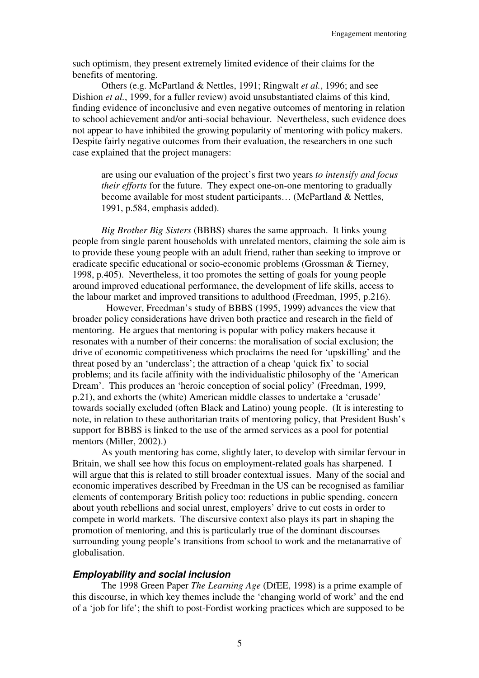such optimism, they present extremely limited evidence of their claims for the benefits of mentoring.

Others (e.g. McPartland & Nettles, 1991; Ringwalt *et al.*, 1996; and see Dishion *et al.*, 1999, for a fuller review) avoid unsubstantiated claims of this kind, finding evidence of inconclusive and even negative outcomes of mentoring in relation to school achievement and/or anti-social behaviour. Nevertheless, such evidence does not appear to have inhibited the growing popularity of mentoring with policy makers. Despite fairly negative outcomes from their evaluation, the researchers in one such case explained that the project managers:

are using our evaluation of the project's first two years *to intensify and focus their efforts* for the future. They expect one-on-one mentoring to gradually become available for most student participants… (McPartland & Nettles, 1991, p.584, emphasis added).

*Big Brother Big Sisters* (BBBS) shares the same approach. It links young people from single parent households with unrelated mentors, claiming the sole aim is to provide these young people with an adult friend, rather than seeking to improve or eradicate specific educational or socio-economic problems (Grossman & Tierney, 1998, p.405). Nevertheless, it too promotes the setting of goals for young people around improved educational performance, the development of life skills, access to the labour market and improved transitions to adulthood (Freedman, 1995, p.216).

 However, Freedman's study of BBBS (1995, 1999) advances the view that broader policy considerations have driven both practice and research in the field of mentoring. He argues that mentoring is popular with policy makers because it resonates with a number of their concerns: the moralisation of social exclusion; the drive of economic competitiveness which proclaims the need for 'upskilling' and the threat posed by an 'underclass'; the attraction of a cheap 'quick fix' to social problems; and its facile affinity with the individualistic philosophy of the 'American Dream'. This produces an 'heroic conception of social policy' (Freedman, 1999, p.21), and exhorts the (white) American middle classes to undertake a 'crusade' towards socially excluded (often Black and Latino) young people. (It is interesting to note, in relation to these authoritarian traits of mentoring policy, that President Bush's support for BBBS is linked to the use of the armed services as a pool for potential mentors (Miller, 2002).)

As youth mentoring has come, slightly later, to develop with similar fervour in Britain, we shall see how this focus on employment-related goals has sharpened. I will argue that this is related to still broader contextual issues. Many of the social and economic imperatives described by Freedman in the US can be recognised as familiar elements of contemporary British policy too: reductions in public spending, concern about youth rebellions and social unrest, employers' drive to cut costs in order to compete in world markets. The discursive context also plays its part in shaping the promotion of mentoring, and this is particularly true of the dominant discourses surrounding young people's transitions from school to work and the metanarrative of globalisation.

### **Employability and social inclusion**

 The 1998 Green Paper *The Learning Age* (DfEE, 1998) is a prime example of this discourse, in which key themes include the 'changing world of work' and the end of a 'job for life'; the shift to post-Fordist working practices which are supposed to be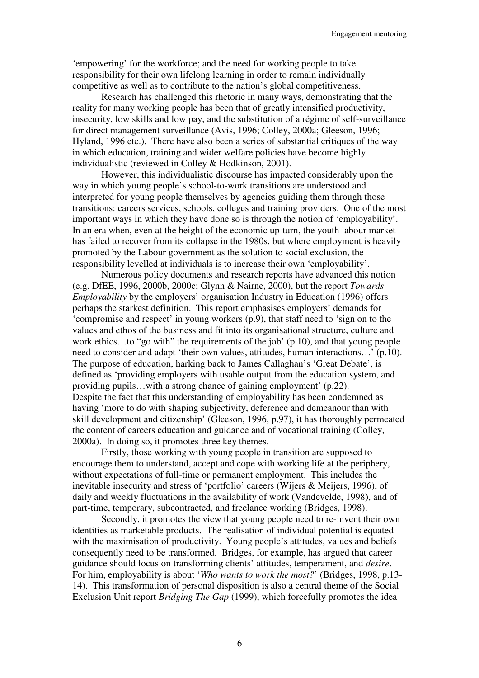'empowering' for the workforce; and the need for working people to take responsibility for their own lifelong learning in order to remain individually competitive as well as to contribute to the nation's global competitiveness.

Research has challenged this rhetoric in many ways, demonstrating that the reality for many working people has been that of greatly intensified productivity, insecurity, low skills and low pay, and the substitution of a régime of self-surveillance for direct management surveillance (Avis, 1996; Colley, 2000a; Gleeson, 1996; Hyland, 1996 etc.). There have also been a series of substantial critiques of the way in which education, training and wider welfare policies have become highly individualistic (reviewed in Colley & Hodkinson, 2001).

However, this individualistic discourse has impacted considerably upon the way in which young people's school-to-work transitions are understood and interpreted for young people themselves by agencies guiding them through those transitions: careers services, schools, colleges and training providers. One of the most important ways in which they have done so is through the notion of 'employability'. In an era when, even at the height of the economic up-turn, the youth labour market has failed to recover from its collapse in the 1980s, but where employment is heavily promoted by the Labour government as the solution to social exclusion, the responsibility levelled at individuals is to increase their own 'employability'.

Numerous policy documents and research reports have advanced this notion (e.g. DfEE, 1996, 2000b, 2000c; Glynn & Nairne, 2000), but the report *Towards Employability* by the employers' organisation Industry in Education (1996) offers perhaps the starkest definition. This report emphasises employers' demands for 'compromise and respect' in young workers (p.9), that staff need to 'sign on to the values and ethos of the business and fit into its organisational structure, culture and work ethics…to "go with" the requirements of the job' (p.10), and that young people need to consider and adapt 'their own values, attitudes, human interactions…' (p.10). The purpose of education, harking back to James Callaghan's 'Great Debate', is defined as 'providing employers with usable output from the education system, and providing pupils…with a strong chance of gaining employment' (p.22). Despite the fact that this understanding of employability has been condemned as having 'more to do with shaping subjectivity, deference and demeanour than with skill development and citizenship' (Gleeson, 1996, p.97), it has thoroughly permeated the content of careers education and guidance and of vocational training (Colley, 2000a). In doing so, it promotes three key themes.

Firstly, those working with young people in transition are supposed to encourage them to understand, accept and cope with working life at the periphery, without expectations of full-time or permanent employment. This includes the inevitable insecurity and stress of 'portfolio' careers (Wijers & Meijers, 1996), of daily and weekly fluctuations in the availability of work (Vandevelde, 1998), and of part-time, temporary, subcontracted, and freelance working (Bridges, 1998).

Secondly, it promotes the view that young people need to re-invent their own identities as marketable products. The realisation of individual potential is equated with the maximisation of productivity. Young people's attitudes, values and beliefs consequently need to be transformed. Bridges, for example, has argued that career guidance should focus on transforming clients' attitudes, temperament, and *desire*. For him, employability is about '*Who wants to work the most?*' (Bridges, 1998, p.13- 14). This transformation of personal disposition is also a central theme of the Social Exclusion Unit report *Bridging The Gap* (1999), which forcefully promotes the idea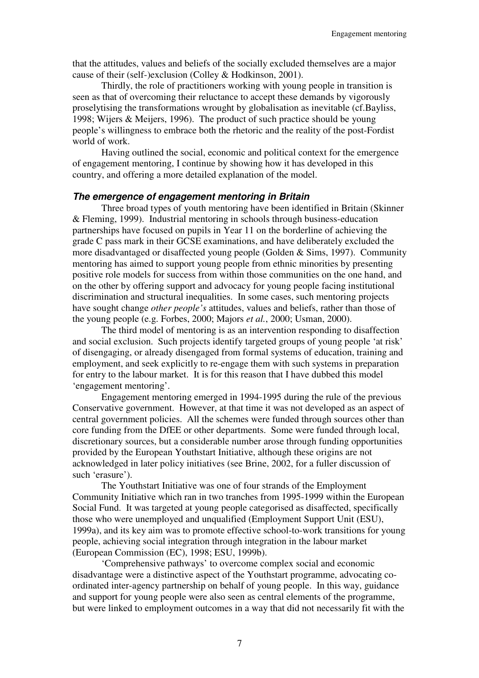that the attitudes, values and beliefs of the socially excluded themselves are a major cause of their (self-)exclusion (Colley & Hodkinson, 2001).

Thirdly, the role of practitioners working with young people in transition is seen as that of overcoming their reluctance to accept these demands by vigorously proselytising the transformations wrought by globalisation as inevitable (cf.Bayliss, 1998; Wijers & Meijers, 1996). The product of such practice should be young people's willingness to embrace both the rhetoric and the reality of the post-Fordist world of work.

Having outlined the social, economic and political context for the emergence of engagement mentoring, I continue by showing how it has developed in this country, and offering a more detailed explanation of the model.

#### **The emergence of engagement mentoring in Britain**

Three broad types of youth mentoring have been identified in Britain (Skinner & Fleming, 1999). Industrial mentoring in schools through business-education partnerships have focused on pupils in Year 11 on the borderline of achieving the grade C pass mark in their GCSE examinations, and have deliberately excluded the more disadvantaged or disaffected young people (Golden & Sims, 1997). Community mentoring has aimed to support young people from ethnic minorities by presenting positive role models for success from within those communities on the one hand, and on the other by offering support and advocacy for young people facing institutional discrimination and structural inequalities. In some cases, such mentoring projects have sought change *other people's* attitudes, values and beliefs, rather than those of the young people (e.g. Forbes, 2000; Majors *et al.*, 2000; Usman, 2000).

The third model of mentoring is as an intervention responding to disaffection and social exclusion. Such projects identify targeted groups of young people 'at risk' of disengaging, or already disengaged from formal systems of education, training and employment, and seek explicitly to re-engage them with such systems in preparation for entry to the labour market. It is for this reason that I have dubbed this model 'engagement mentoring'.

Engagement mentoring emerged in 1994-1995 during the rule of the previous Conservative government. However, at that time it was not developed as an aspect of central government policies. All the schemes were funded through sources other than core funding from the DfEE or other departments. Some were funded through local, discretionary sources, but a considerable number arose through funding opportunities provided by the European Youthstart Initiative, although these origins are not acknowledged in later policy initiatives (see Brine, 2002, for a fuller discussion of such 'erasure').

 The Youthstart Initiative was one of four strands of the Employment Community Initiative which ran in two tranches from 1995-1999 within the European Social Fund. It was targeted at young people categorised as disaffected, specifically those who were unemployed and unqualified (Employment Support Unit (ESU), 1999a), and its key aim was to promote effective school-to-work transitions for young people, achieving social integration through integration in the labour market (European Commission (EC), 1998; ESU, 1999b).

 'Comprehensive pathways' to overcome complex social and economic disadvantage were a distinctive aspect of the Youthstart programme, advocating coordinated inter-agency partnership on behalf of young people. In this way, guidance and support for young people were also seen as central elements of the programme, but were linked to employment outcomes in a way that did not necessarily fit with the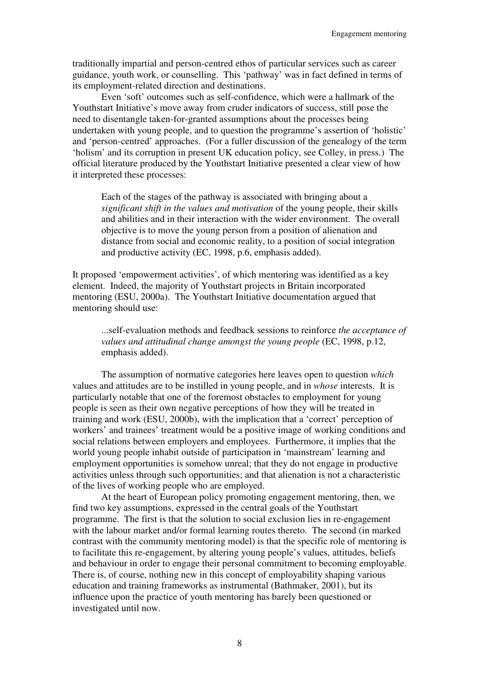traditionally impartial and person-centred ethos of particular services such as career guidance, youth work, or counselling. This 'pathway' was in fact defined in terms of its employment-related direction and destinations.

Even 'soft' outcomes such as self-confidence, which were a hallmark of the Youthstart Initiative's move away from cruder indicators of success, still pose the need to disentangle taken-for-granted assumptions about the processes being undertaken with young people, and to question the programme's assertion of 'holistic' and 'person-centred' approaches. (For a fuller discussion of the genealogy of the term 'holism' and its corruption in present UK education policy, see Colley, in press.) The official literature produced by the Youthstart Initiative presented a clear view of how it interpreted these processes:

Each of the stages of the pathway is associated with bringing about a *significant shift in the values and motivation* of the young people, their skills and abilities and in their interaction with the wider environment. The overall objective is to move the young person from a position of alienation and distance from social and economic reality, to a position of social integration and productive activity (EC, 1998, p.6, emphasis added).

It proposed 'empowerment activities', of which mentoring was identified as a key element. Indeed, the majority of Youthstart projects in Britain incorporated mentoring (ESU, 2000a). The Youthstart Initiative documentation argued that mentoring should use:

...self-evaluation methods and feedback sessions to reinforce *the acceptance of values and attitudinal change amongst the young people* (EC, 1998, p.12, emphasis added).

The assumption of normative categories here leaves open to question *which* values and attitudes are to be instilled in young people, and in *whose* interests. It is particularly notable that one of the foremost obstacles to employment for young people is seen as their own negative perceptions of how they will be treated in training and work (ESU, 2000b), with the implication that a 'correct' perception of workers' and trainees' treatment would be a positive image of working conditions and social relations between employers and employees. Furthermore, it implies that the world young people inhabit outside of participation in 'mainstream' learning and employment opportunities is somehow unreal; that they do not engage in productive activities unless through such opportunities; and that alienation is not a characteristic of the lives of working people who are employed.

At the heart of European policy promoting engagement mentoring, then, we find two key assumptions, expressed in the central goals of the Youthstart programme. The first is that the solution to social exclusion lies in re-engagement with the labour market and/or formal learning routes thereto. The second (in marked contrast with the community mentoring model) is that the specific role of mentoring is to facilitate this re-engagement, by altering young people's values, attitudes, beliefs and behaviour in order to engage their personal commitment to becoming employable. There is, of course, nothing new in this concept of employability shaping various education and training frameworks as instrumental (Bathmaker, 2001), but its influence upon the practice of youth mentoring has barely been questioned or investigated until now.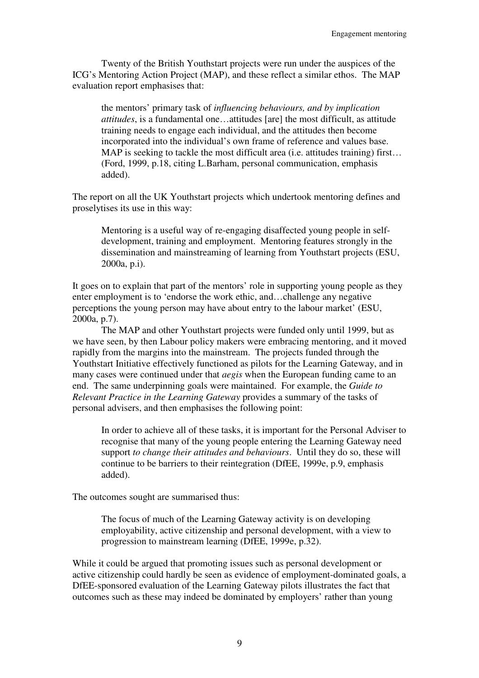Twenty of the British Youthstart projects were run under the auspices of the ICG's Mentoring Action Project (MAP), and these reflect a similar ethos. The MAP evaluation report emphasises that:

the mentors' primary task of *influencing behaviours, and by implication attitudes*, is a fundamental one…attitudes [are] the most difficult, as attitude training needs to engage each individual, and the attitudes then become incorporated into the individual's own frame of reference and values base. MAP is seeking to tackle the most difficult area (i.e. attitudes training) first... (Ford, 1999, p.18, citing L.Barham, personal communication, emphasis added).

The report on all the UK Youthstart projects which undertook mentoring defines and proselytises its use in this way:

Mentoring is a useful way of re-engaging disaffected young people in selfdevelopment, training and employment. Mentoring features strongly in the dissemination and mainstreaming of learning from Youthstart projects (ESU, 2000a, p.i).

It goes on to explain that part of the mentors' role in supporting young people as they enter employment is to 'endorse the work ethic, and…challenge any negative perceptions the young person may have about entry to the labour market' (ESU, 2000a, p.7).

The MAP and other Youthstart projects were funded only until 1999, but as we have seen, by then Labour policy makers were embracing mentoring, and it moved rapidly from the margins into the mainstream. The projects funded through the Youthstart Initiative effectively functioned as pilots for the Learning Gateway, and in many cases were continued under that *aegis* when the European funding came to an end. The same underpinning goals were maintained. For example, the *Guide to Relevant Practice in the Learning Gateway* provides a summary of the tasks of personal advisers, and then emphasises the following point:

In order to achieve all of these tasks, it is important for the Personal Adviser to recognise that many of the young people entering the Learning Gateway need support *to change their attitudes and behaviours*. Until they do so, these will continue to be barriers to their reintegration (DfEE, 1999e, p.9, emphasis added).

The outcomes sought are summarised thus:

The focus of much of the Learning Gateway activity is on developing employability, active citizenship and personal development, with a view to progression to mainstream learning (DfEE, 1999e, p.32).

While it could be argued that promoting issues such as personal development or active citizenship could hardly be seen as evidence of employment-dominated goals, a DfEE-sponsored evaluation of the Learning Gateway pilots illustrates the fact that outcomes such as these may indeed be dominated by employers' rather than young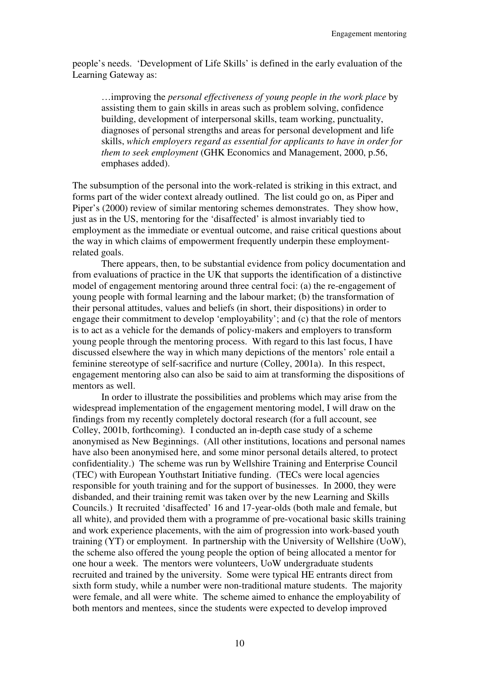people's needs. 'Development of Life Skills' is defined in the early evaluation of the Learning Gateway as:

…improving the *personal effectiveness of young people in the work place* by assisting them to gain skills in areas such as problem solving, confidence building, development of interpersonal skills, team working, punctuality, diagnoses of personal strengths and areas for personal development and life skills, *which employers regard as essential for applicants to have in order for them to seek employment* (GHK Economics and Management, 2000, p.56, emphases added).

The subsumption of the personal into the work-related is striking in this extract, and forms part of the wider context already outlined. The list could go on, as Piper and Piper's (2000) review of similar mentoring schemes demonstrates. They show how, just as in the US, mentoring for the 'disaffected' is almost invariably tied to employment as the immediate or eventual outcome, and raise critical questions about the way in which claims of empowerment frequently underpin these employmentrelated goals.

 There appears, then, to be substantial evidence from policy documentation and from evaluations of practice in the UK that supports the identification of a distinctive model of engagement mentoring around three central foci: (a) the re-engagement of young people with formal learning and the labour market; (b) the transformation of their personal attitudes, values and beliefs (in short, their dispositions) in order to engage their commitment to develop 'employability'; and (c) that the role of mentors is to act as a vehicle for the demands of policy-makers and employers to transform young people through the mentoring process. With regard to this last focus, I have discussed elsewhere the way in which many depictions of the mentors' role entail a feminine stereotype of self-sacrifice and nurture (Colley, 2001a). In this respect, engagement mentoring also can also be said to aim at transforming the dispositions of mentors as well.

In order to illustrate the possibilities and problems which may arise from the widespread implementation of the engagement mentoring model, I will draw on the findings from my recently completely doctoral research (for a full account, see Colley, 2001b, forthcoming). I conducted an in-depth case study of a scheme anonymised as New Beginnings. (All other institutions, locations and personal names have also been anonymised here, and some minor personal details altered, to protect confidentiality.) The scheme was run by Wellshire Training and Enterprise Council (TEC) with European Youthstart Initiative funding. (TECs were local agencies responsible for youth training and for the support of businesses. In 2000, they were disbanded, and their training remit was taken over by the new Learning and Skills Councils.) It recruited 'disaffected' 16 and 17-year-olds (both male and female, but all white), and provided them with a programme of pre-vocational basic skills training and work experience placements, with the aim of progression into work-based youth training (YT) or employment. In partnership with the University of Wellshire (UoW), the scheme also offered the young people the option of being allocated a mentor for one hour a week. The mentors were volunteers, UoW undergraduate students recruited and trained by the university. Some were typical HE entrants direct from sixth form study, while a number were non-traditional mature students. The majority were female, and all were white. The scheme aimed to enhance the employability of both mentors and mentees, since the students were expected to develop improved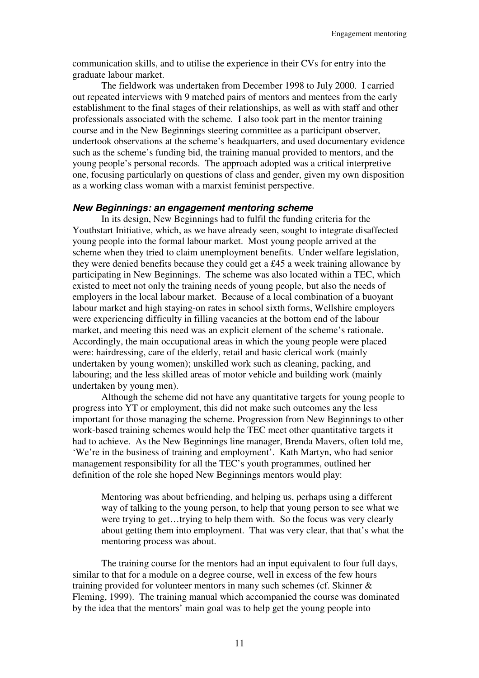communication skills, and to utilise the experience in their CVs for entry into the graduate labour market.

The fieldwork was undertaken from December 1998 to July 2000. I carried out repeated interviews with 9 matched pairs of mentors and mentees from the early establishment to the final stages of their relationships, as well as with staff and other professionals associated with the scheme. I also took part in the mentor training course and in the New Beginnings steering committee as a participant observer, undertook observations at the scheme's headquarters, and used documentary evidence such as the scheme's funding bid, the training manual provided to mentors, and the young people's personal records. The approach adopted was a critical interpretive one, focusing particularly on questions of class and gender, given my own disposition as a working class woman with a marxist feminist perspective.

#### **New Beginnings: an engagement mentoring scheme**

 In its design, New Beginnings had to fulfil the funding criteria for the Youthstart Initiative, which, as we have already seen, sought to integrate disaffected young people into the formal labour market. Most young people arrived at the scheme when they tried to claim unemployment benefits. Under welfare legislation, they were denied benefits because they could get a £45 a week training allowance by participating in New Beginnings. The scheme was also located within a TEC, which existed to meet not only the training needs of young people, but also the needs of employers in the local labour market. Because of a local combination of a buoyant labour market and high staying-on rates in school sixth forms, Wellshire employers were experiencing difficulty in filling vacancies at the bottom end of the labour market, and meeting this need was an explicit element of the scheme's rationale. Accordingly, the main occupational areas in which the young people were placed were: hairdressing, care of the elderly, retail and basic clerical work (mainly undertaken by young women); unskilled work such as cleaning, packing, and labouring; and the less skilled areas of motor vehicle and building work (mainly undertaken by young men).

Although the scheme did not have any quantitative targets for young people to progress into YT or employment, this did not make such outcomes any the less important for those managing the scheme. Progression from New Beginnings to other work-based training schemes would help the TEC meet other quantitative targets it had to achieve. As the New Beginnings line manager, Brenda Mavers, often told me, 'We're in the business of training and employment'. Kath Martyn, who had senior management responsibility for all the TEC's youth programmes, outlined her definition of the role she hoped New Beginnings mentors would play:

Mentoring was about befriending, and helping us, perhaps using a different way of talking to the young person, to help that young person to see what we were trying to get...trying to help them with. So the focus was very clearly about getting them into employment. That was very clear, that that's what the mentoring process was about.

 The training course for the mentors had an input equivalent to four full days, similar to that for a module on a degree course, well in excess of the few hours training provided for volunteer mentors in many such schemes (cf. Skinner & Fleming, 1999). The training manual which accompanied the course was dominated by the idea that the mentors' main goal was to help get the young people into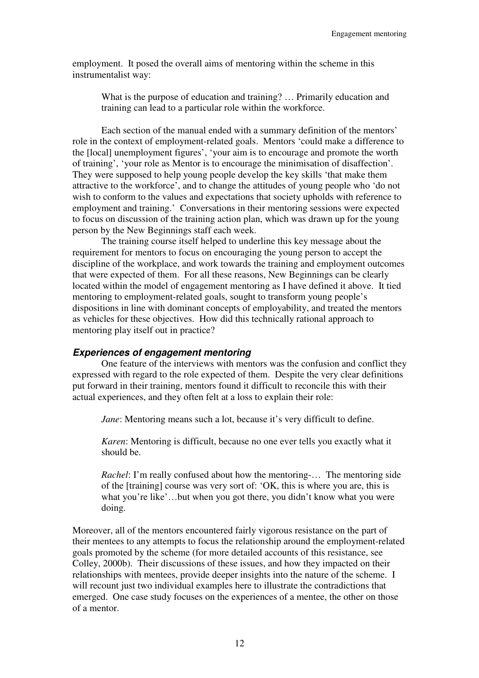employment. It posed the overall aims of mentoring within the scheme in this instrumentalist way:

What is the purpose of education and training? ... Primarily education and training can lead to a particular role within the workforce.

Each section of the manual ended with a summary definition of the mentors' role in the context of employment-related goals. Mentors 'could make a difference to the [local] unemployment figures', 'your aim is to encourage and promote the worth of training', 'your role as Mentor is to encourage the minimisation of disaffection'. They were supposed to help young people develop the key skills 'that make them attractive to the workforce', and to change the attitudes of young people who 'do not wish to conform to the values and expectations that society upholds with reference to employment and training.' Conversations in their mentoring sessions were expected to focus on discussion of the training action plan, which was drawn up for the young person by the New Beginnings staff each week.

The training course itself helped to underline this key message about the requirement for mentors to focus on encouraging the young person to accept the discipline of the workplace, and work towards the training and employment outcomes that were expected of them. For all these reasons, New Beginnings can be clearly located within the model of engagement mentoring as I have defined it above. It tied mentoring to employment-related goals, sought to transform young people's dispositions in line with dominant concepts of employability, and treated the mentors as vehicles for these objectives. How did this technically rational approach to mentoring play itself out in practice?

#### **Experiences of engagement mentoring**

 One feature of the interviews with mentors was the confusion and conflict they expressed with regard to the role expected of them. Despite the very clear definitions put forward in their training, mentors found it difficult to reconcile this with their actual experiences, and they often felt at a loss to explain their role:

*Jane*: Mentoring means such a lot, because it's very difficult to define.

*Karen*: Mentoring is difficult, because no one ever tells you exactly what it should be.

*Rachel*: I'm really confused about how the mentoring-... The mentoring side of the [training] course was very sort of: 'OK, this is where you are, this is what you're like'…but when you got there, you didn't know what you were doing.

Moreover, all of the mentors encountered fairly vigorous resistance on the part of their mentees to any attempts to focus the relationship around the employment-related goals promoted by the scheme (for more detailed accounts of this resistance, see Colley, 2000b). Their discussions of these issues, and how they impacted on their relationships with mentees, provide deeper insights into the nature of the scheme. I will recount just two individual examples here to illustrate the contradictions that emerged. One case study focuses on the experiences of a mentee, the other on those of a mentor.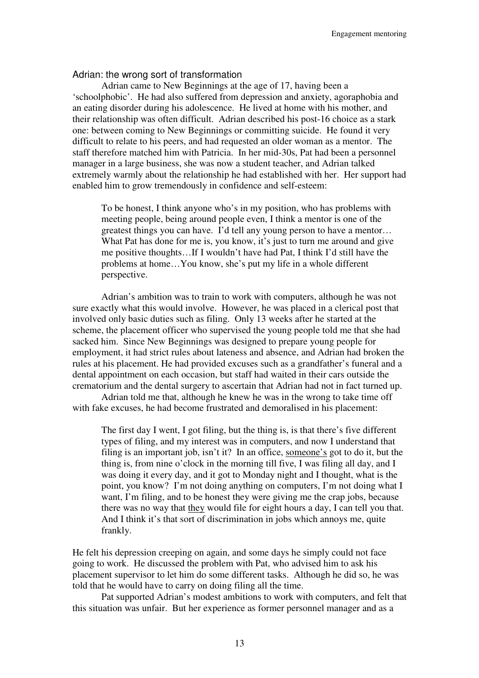#### Adrian: the wrong sort of transformation

 Adrian came to New Beginnings at the age of 17, having been a 'schoolphobic'. He had also suffered from depression and anxiety, agoraphobia and an eating disorder during his adolescence. He lived at home with his mother, and their relationship was often difficult. Adrian described his post-16 choice as a stark one: between coming to New Beginnings or committing suicide. He found it very difficult to relate to his peers, and had requested an older woman as a mentor. The staff therefore matched him with Patricia. In her mid-30s, Pat had been a personnel manager in a large business, she was now a student teacher, and Adrian talked extremely warmly about the relationship he had established with her. Her support had enabled him to grow tremendously in confidence and self-esteem:

To be honest, I think anyone who's in my position, who has problems with meeting people, being around people even, I think a mentor is one of the greatest things you can have. I'd tell any young person to have a mentor… What Pat has done for me is, you know, it's just to turn me around and give me positive thoughts…If I wouldn't have had Pat, I think I'd still have the problems at home…You know, she's put my life in a whole different perspective.

Adrian's ambition was to train to work with computers, although he was not sure exactly what this would involve. However, he was placed in a clerical post that involved only basic duties such as filing. Only 13 weeks after he started at the scheme, the placement officer who supervised the young people told me that she had sacked him. Since New Beginnings was designed to prepare young people for employment, it had strict rules about lateness and absence, and Adrian had broken the rules at his placement. He had provided excuses such as a grandfather's funeral and a dental appointment on each occasion, but staff had waited in their cars outside the crematorium and the dental surgery to ascertain that Adrian had not in fact turned up.

 Adrian told me that, although he knew he was in the wrong to take time off with fake excuses, he had become frustrated and demoralised in his placement:

The first day I went, I got filing, but the thing is, is that there's five different types of filing, and my interest was in computers, and now I understand that filing is an important job, isn't it? In an office, someone's got to do it, but the thing is, from nine o'clock in the morning till five, I was filing all day, and I was doing it every day, and it got to Monday night and I thought, what is the point, you know? I'm not doing anything on computers, I'm not doing what I want, I'm filing, and to be honest they were giving me the crap jobs, because there was no way that they would file for eight hours a day, I can tell you that. And I think it's that sort of discrimination in jobs which annoys me, quite frankly.

He felt his depression creeping on again, and some days he simply could not face going to work. He discussed the problem with Pat, who advised him to ask his placement supervisor to let him do some different tasks. Although he did so, he was told that he would have to carry on doing filing all the time.

 Pat supported Adrian's modest ambitions to work with computers, and felt that this situation was unfair. But her experience as former personnel manager and as a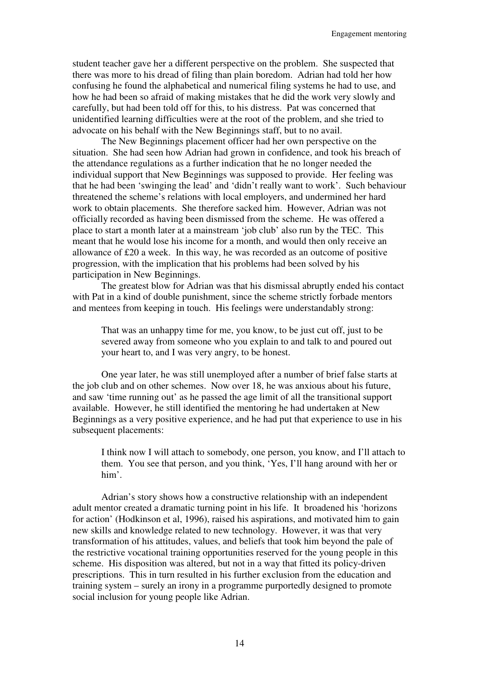student teacher gave her a different perspective on the problem. She suspected that there was more to his dread of filing than plain boredom. Adrian had told her how confusing he found the alphabetical and numerical filing systems he had to use, and how he had been so afraid of making mistakes that he did the work very slowly and carefully, but had been told off for this, to his distress. Pat was concerned that unidentified learning difficulties were at the root of the problem, and she tried to advocate on his behalf with the New Beginnings staff, but to no avail.

 The New Beginnings placement officer had her own perspective on the situation. She had seen how Adrian had grown in confidence, and took his breach of the attendance regulations as a further indication that he no longer needed the individual support that New Beginnings was supposed to provide. Her feeling was that he had been 'swinging the lead' and 'didn't really want to work'. Such behaviour threatened the scheme's relations with local employers, and undermined her hard work to obtain placements. She therefore sacked him. However, Adrian was not officially recorded as having been dismissed from the scheme. He was offered a place to start a month later at a mainstream 'job club' also run by the TEC. This meant that he would lose his income for a month, and would then only receive an allowance of £20 a week. In this way, he was recorded as an outcome of positive progression, with the implication that his problems had been solved by his participation in New Beginnings.

 The greatest blow for Adrian was that his dismissal abruptly ended his contact with Pat in a kind of double punishment, since the scheme strictly forbade mentors and mentees from keeping in touch. His feelings were understandably strong:

That was an unhappy time for me, you know, to be just cut off, just to be severed away from someone who you explain to and talk to and poured out your heart to, and I was very angry, to be honest.

One year later, he was still unemployed after a number of brief false starts at the job club and on other schemes. Now over 18, he was anxious about his future, and saw 'time running out' as he passed the age limit of all the transitional support available. However, he still identified the mentoring he had undertaken at New Beginnings as a very positive experience, and he had put that experience to use in his subsequent placements:

I think now I will attach to somebody, one person, you know, and I'll attach to them. You see that person, and you think, 'Yes, I'll hang around with her or him'.

 Adrian's story shows how a constructive relationship with an independent adult mentor created a dramatic turning point in his life. It broadened his 'horizons for action' (Hodkinson et al, 1996), raised his aspirations, and motivated him to gain new skills and knowledge related to new technology. However, it was that very transformation of his attitudes, values, and beliefs that took him beyond the pale of the restrictive vocational training opportunities reserved for the young people in this scheme. His disposition was altered, but not in a way that fitted its policy-driven prescriptions. This in turn resulted in his further exclusion from the education and training system – surely an irony in a programme purportedly designed to promote social inclusion for young people like Adrian.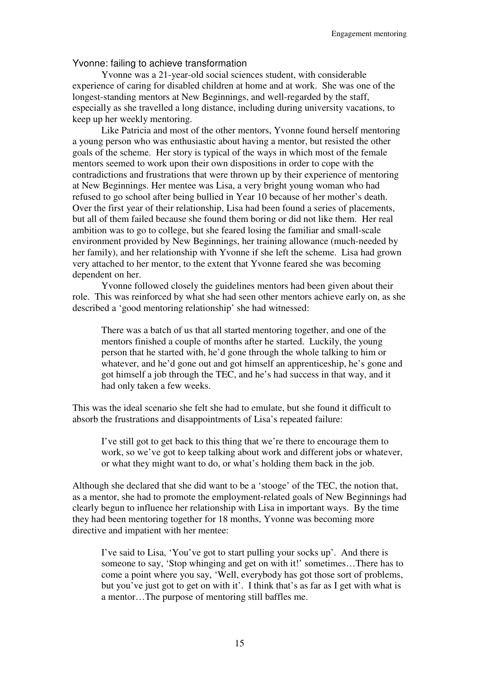Yvonne: failing to achieve transformation

 Yvonne was a 21-year-old social sciences student, with considerable experience of caring for disabled children at home and at work. She was one of the longest-standing mentors at New Beginnings, and well-regarded by the staff, especially as she travelled a long distance, including during university vacations, to keep up her weekly mentoring.

Like Patricia and most of the other mentors, Yvonne found herself mentoring a young person who was enthusiastic about having a mentor, but resisted the other goals of the scheme. Her story is typical of the ways in which most of the female mentors seemed to work upon their own dispositions in order to cope with the contradictions and frustrations that were thrown up by their experience of mentoring at New Beginnings. Her mentee was Lisa, a very bright young woman who had refused to go school after being bullied in Year 10 because of her mother's death. Over the first year of their relationship, Lisa had been found a series of placements, but all of them failed because she found them boring or did not like them. Her real ambition was to go to college, but she feared losing the familiar and small-scale environment provided by New Beginnings, her training allowance (much-needed by her family), and her relationship with Yvonne if she left the scheme. Lisa had grown very attached to her mentor, to the extent that Yvonne feared she was becoming dependent on her.

 Yvonne followed closely the guidelines mentors had been given about their role. This was reinforced by what she had seen other mentors achieve early on, as she described a 'good mentoring relationship' she had witnessed:

There was a batch of us that all started mentoring together, and one of the mentors finished a couple of months after he started. Luckily, the young person that he started with, he'd gone through the whole talking to him or whatever, and he'd gone out and got himself an apprenticeship, he's gone and got himself a job through the TEC, and he's had success in that way, and it had only taken a few weeks.

This was the ideal scenario she felt she had to emulate, but she found it difficult to absorb the frustrations and disappointments of Lisa's repeated failure:

I've still got to get back to this thing that we're there to encourage them to work, so we've got to keep talking about work and different jobs or whatever, or what they might want to do, or what's holding them back in the job.

Although she declared that she did want to be a 'stooge' of the TEC, the notion that, as a mentor, she had to promote the employment-related goals of New Beginnings had clearly begun to influence her relationship with Lisa in important ways. By the time they had been mentoring together for 18 months, Yvonne was becoming more directive and impatient with her mentee:

I've said to Lisa, 'You've got to start pulling your socks up'. And there is someone to say, 'Stop whinging and get on with it!' sometimes...There has to come a point where you say, 'Well, everybody has got those sort of problems, but you've just got to get on with it'. I think that's as far as I get with what is a mentor…The purpose of mentoring still baffles me.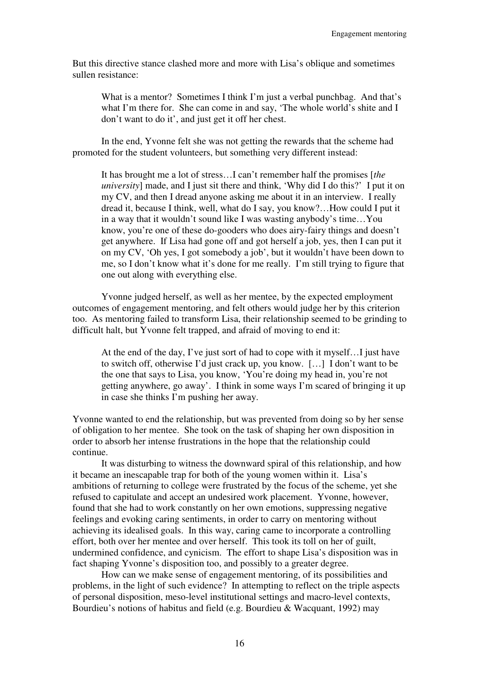But this directive stance clashed more and more with Lisa's oblique and sometimes sullen resistance:

What is a mentor? Sometimes I think I'm just a verbal punchbag. And that's what I'm there for. She can come in and say, 'The whole world's shite and I don't want to do it', and just get it off her chest.

In the end, Yvonne felt she was not getting the rewards that the scheme had promoted for the student volunteers, but something very different instead:

It has brought me a lot of stress…I can't remember half the promises [*the university*] made, and I just sit there and think, 'Why did I do this?' I put it on my CV, and then I dread anyone asking me about it in an interview. I really dread it, because I think, well, what do I say, you know?…How could I put it in a way that it wouldn't sound like I was wasting anybody's time…You know, you're one of these do-gooders who does airy-fairy things and doesn't get anywhere. If Lisa had gone off and got herself a job, yes, then I can put it on my CV, 'Oh yes, I got somebody a job', but it wouldn't have been down to me, so I don't know what it's done for me really. I'm still trying to figure that one out along with everything else.

Yvonne judged herself, as well as her mentee, by the expected employment outcomes of engagement mentoring, and felt others would judge her by this criterion too. As mentoring failed to transform Lisa, their relationship seemed to be grinding to difficult halt, but Yvonne felt trapped, and afraid of moving to end it:

At the end of the day, I've just sort of had to cope with it myself…I just have to switch off, otherwise I'd just crack up, you know. […] I don't want to be the one that says to Lisa, you know, 'You're doing my head in, you're not getting anywhere, go away'. I think in some ways I'm scared of bringing it up in case she thinks I'm pushing her away.

Yvonne wanted to end the relationship, but was prevented from doing so by her sense of obligation to her mentee. She took on the task of shaping her own disposition in order to absorb her intense frustrations in the hope that the relationship could continue.

 It was disturbing to witness the downward spiral of this relationship, and how it became an inescapable trap for both of the young women within it. Lisa's ambitions of returning to college were frustrated by the focus of the scheme, yet she refused to capitulate and accept an undesired work placement. Yvonne, however, found that she had to work constantly on her own emotions, suppressing negative feelings and evoking caring sentiments, in order to carry on mentoring without achieving its idealised goals. In this way, caring came to incorporate a controlling effort, both over her mentee and over herself. This took its toll on her of guilt, undermined confidence, and cynicism. The effort to shape Lisa's disposition was in fact shaping Yvonne's disposition too, and possibly to a greater degree.

 How can we make sense of engagement mentoring, of its possibilities and problems, in the light of such evidence? In attempting to reflect on the triple aspects of personal disposition, meso-level institutional settings and macro-level contexts, Bourdieu's notions of habitus and field (e.g. Bourdieu & Wacquant, 1992) may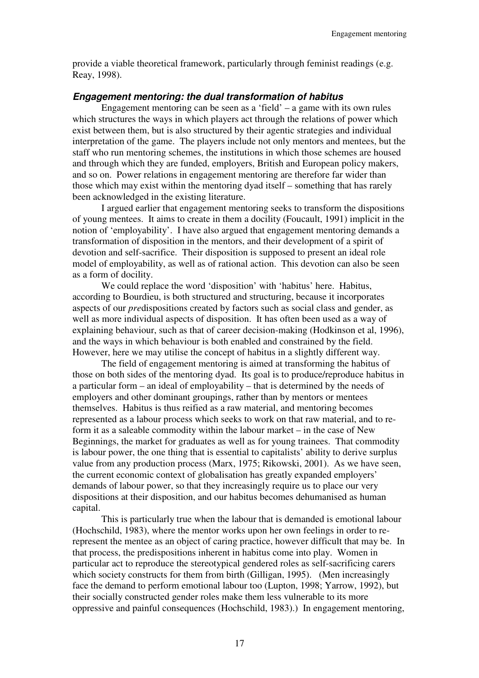provide a viable theoretical framework, particularly through feminist readings (e.g. Reay, 1998).

# **Engagement mentoring: the dual transformation of habitus**

Engagement mentoring can be seen as a 'field'  $-$  a game with its own rules which structures the ways in which players act through the relations of power which exist between them, but is also structured by their agentic strategies and individual interpretation of the game. The players include not only mentors and mentees, but the staff who run mentoring schemes, the institutions in which those schemes are housed and through which they are funded, employers, British and European policy makers, and so on. Power relations in engagement mentoring are therefore far wider than those which may exist within the mentoring dyad itself – something that has rarely been acknowledged in the existing literature.

I argued earlier that engagement mentoring seeks to transform the dispositions of young mentees. It aims to create in them a docility (Foucault, 1991) implicit in the notion of 'employability'. I have also argued that engagement mentoring demands a transformation of disposition in the mentors, and their development of a spirit of devotion and self-sacrifice. Their disposition is supposed to present an ideal role model of employability, as well as of rational action. This devotion can also be seen as a form of docility.

We could replace the word 'disposition' with 'habitus' here. Habitus, according to Bourdieu, is both structured and structuring, because it incorporates aspects of our *pre*dispositions created by factors such as social class and gender, as well as more individual aspects of disposition. It has often been used as a way of explaining behaviour, such as that of career decision-making (Hodkinson et al, 1996), and the ways in which behaviour is both enabled and constrained by the field. However, here we may utilise the concept of habitus in a slightly different way.

The field of engagement mentoring is aimed at transforming the habitus of those on both sides of the mentoring dyad. Its goal is to produce/reproduce habitus in a particular form – an ideal of employability – that is determined by the needs of employers and other dominant groupings, rather than by mentors or mentees themselves. Habitus is thus reified as a raw material, and mentoring becomes represented as a labour process which seeks to work on that raw material, and to reform it as a saleable commodity within the labour market – in the case of New Beginnings, the market for graduates as well as for young trainees. That commodity is labour power, the one thing that is essential to capitalists' ability to derive surplus value from any production process (Marx, 1975; Rikowski, 2001). As we have seen, the current economic context of globalisation has greatly expanded employers' demands of labour power, so that they increasingly require us to place our very dispositions at their disposition, and our habitus becomes dehumanised as human capital.

This is particularly true when the labour that is demanded is emotional labour (Hochschild, 1983), where the mentor works upon her own feelings in order to rerepresent the mentee as an object of caring practice, however difficult that may be. In that process, the predispositions inherent in habitus come into play. Women in particular act to reproduce the stereotypical gendered roles as self-sacrificing carers which society constructs for them from birth (Gilligan, 1995). (Men increasingly face the demand to perform emotional labour too (Lupton, 1998; Yarrow, 1992), but their socially constructed gender roles make them less vulnerable to its more oppressive and painful consequences (Hochschild, 1983).) In engagement mentoring,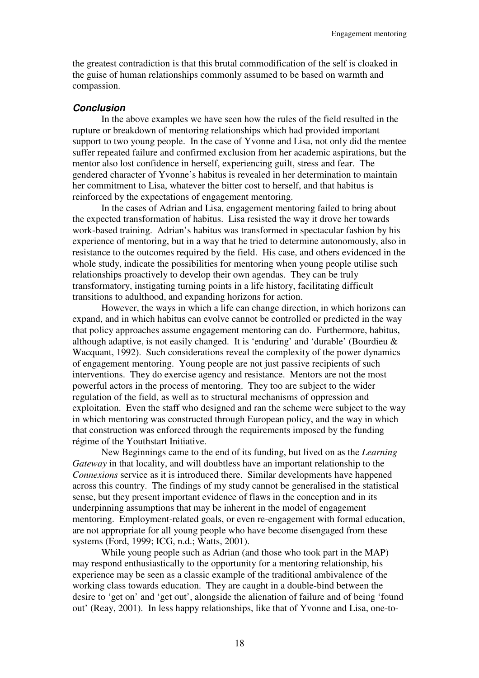the greatest contradiction is that this brutal commodification of the self is cloaked in the guise of human relationships commonly assumed to be based on warmth and compassion.

# **Conclusion**

In the above examples we have seen how the rules of the field resulted in the rupture or breakdown of mentoring relationships which had provided important support to two young people. In the case of Yvonne and Lisa, not only did the mentee suffer repeated failure and confirmed exclusion from her academic aspirations, but the mentor also lost confidence in herself, experiencing guilt, stress and fear. The gendered character of Yvonne's habitus is revealed in her determination to maintain her commitment to Lisa, whatever the bitter cost to herself, and that habitus is reinforced by the expectations of engagement mentoring.

In the cases of Adrian and Lisa, engagement mentoring failed to bring about the expected transformation of habitus. Lisa resisted the way it drove her towards work-based training. Adrian's habitus was transformed in spectacular fashion by his experience of mentoring, but in a way that he tried to determine autonomously, also in resistance to the outcomes required by the field. His case, and others evidenced in the whole study, indicate the possibilities for mentoring when young people utilise such relationships proactively to develop their own agendas. They can be truly transformatory, instigating turning points in a life history, facilitating difficult transitions to adulthood, and expanding horizons for action.

However, the ways in which a life can change direction, in which horizons can expand, and in which habitus can evolve cannot be controlled or predicted in the way that policy approaches assume engagement mentoring can do. Furthermore, habitus, although adaptive, is not easily changed. It is 'enduring' and 'durable' (Bourdieu & Wacquant, 1992). Such considerations reveal the complexity of the power dynamics of engagement mentoring. Young people are not just passive recipients of such interventions. They do exercise agency and resistance. Mentors are not the most powerful actors in the process of mentoring. They too are subject to the wider regulation of the field, as well as to structural mechanisms of oppression and exploitation. Even the staff who designed and ran the scheme were subject to the way in which mentoring was constructed through European policy, and the way in which that construction was enforced through the requirements imposed by the funding régime of the Youthstart Initiative.

New Beginnings came to the end of its funding, but lived on as the *Learning Gateway* in that locality, and will doubtless have an important relationship to the *Connexions* service as it is introduced there. Similar developments have happened across this country. The findings of my study cannot be generalised in the statistical sense, but they present important evidence of flaws in the conception and in its underpinning assumptions that may be inherent in the model of engagement mentoring. Employment-related goals, or even re-engagement with formal education, are not appropriate for all young people who have become disengaged from these systems (Ford, 1999; ICG, n.d.; Watts, 2001).

While young people such as Adrian (and those who took part in the MAP) may respond enthusiastically to the opportunity for a mentoring relationship, his experience may be seen as a classic example of the traditional ambivalence of the working class towards education. They are caught in a double-bind between the desire to 'get on' and 'get out', alongside the alienation of failure and of being 'found out' (Reay, 2001). In less happy relationships, like that of Yvonne and Lisa, one-to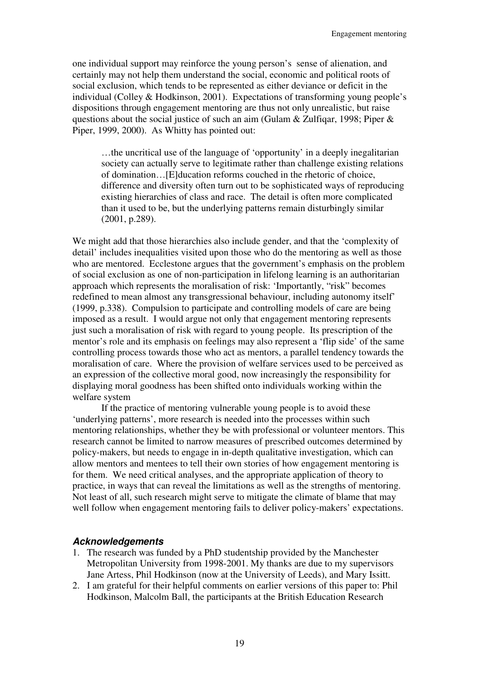one individual support may reinforce the young person's sense of alienation, and certainly may not help them understand the social, economic and political roots of social exclusion, which tends to be represented as either deviance or deficit in the individual (Colley & Hodkinson, 2001). Expectations of transforming young people's dispositions through engagement mentoring are thus not only unrealistic, but raise questions about the social justice of such an aim (Gulam & Zulfiqar, 1998; Piper  $\&$ Piper, 1999, 2000). As Whitty has pointed out:

…the uncritical use of the language of 'opportunity' in a deeply inegalitarian society can actually serve to legitimate rather than challenge existing relations of domination…[E]ducation reforms couched in the rhetoric of choice, difference and diversity often turn out to be sophisticated ways of reproducing existing hierarchies of class and race. The detail is often more complicated than it used to be, but the underlying patterns remain disturbingly similar (2001, p.289).

We might add that those hierarchies also include gender, and that the 'complexity of detail' includes inequalities visited upon those who do the mentoring as well as those who are mentored. Ecclestone argues that the government's emphasis on the problem of social exclusion as one of non-participation in lifelong learning is an authoritarian approach which represents the moralisation of risk: 'Importantly, "risk" becomes redefined to mean almost any transgressional behaviour, including autonomy itself' (1999, p.338). Compulsion to participate and controlling models of care are being imposed as a result. I would argue not only that engagement mentoring represents just such a moralisation of risk with regard to young people. Its prescription of the mentor's role and its emphasis on feelings may also represent a 'flip side' of the same controlling process towards those who act as mentors, a parallel tendency towards the moralisation of care. Where the provision of welfare services used to be perceived as an expression of the collective moral good, now increasingly the responsibility for displaying moral goodness has been shifted onto individuals working within the welfare system

If the practice of mentoring vulnerable young people is to avoid these 'underlying patterns', more research is needed into the processes within such mentoring relationships, whether they be with professional or volunteer mentors. This research cannot be limited to narrow measures of prescribed outcomes determined by policy-makers, but needs to engage in in-depth qualitative investigation, which can allow mentors and mentees to tell their own stories of how engagement mentoring is for them. We need critical analyses, and the appropriate application of theory to practice, in ways that can reveal the limitations as well as the strengths of mentoring. Not least of all, such research might serve to mitigate the climate of blame that may well follow when engagement mentoring fails to deliver policy-makers' expectations.

### **Acknowledgements**

- 1. The research was funded by a PhD studentship provided by the Manchester Metropolitan University from 1998-2001. My thanks are due to my supervisors Jane Artess, Phil Hodkinson (now at the University of Leeds), and Mary Issitt.
- 2. I am grateful for their helpful comments on earlier versions of this paper to: Phil Hodkinson, Malcolm Ball, the participants at the British Education Research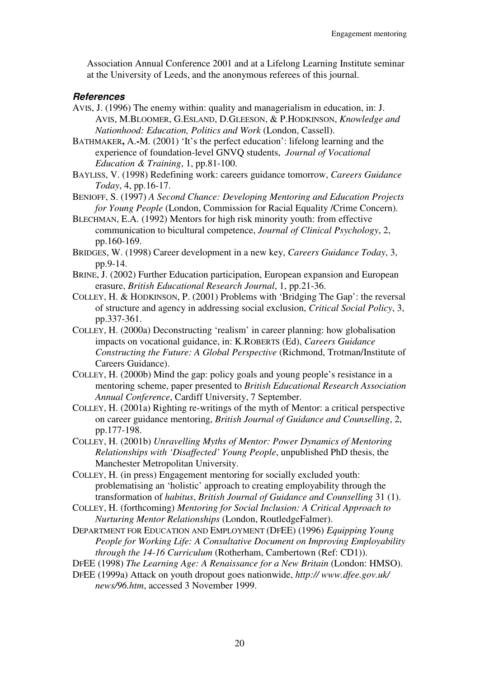Association Annual Conference 2001 and at a Lifelong Learning Institute seminar at the University of Leeds, and the anonymous referees of this journal.

#### **References**

AVIS, J. (1996) The enemy within: quality and managerialism in education, in: J. AVIS, M.BLOOMER, G.ESLAND, D.GLEESON, & P.HODKINSON, *Knowledge and Nationhood: Education, Politics and Work* (London, Cassell).

BATHMAKER**,** A.**-**M. (2001) 'It's the perfect education': lifelong learning and the experience of foundation-level GNVQ students, *Journal of Vocational Education & Training*, 1, pp.81-100.

BAYLISS, V. (1998) Redefining work: careers guidance tomorrow, *Careers Guidance Today*, 4, pp.16-17.

BENIOFF, S. (1997) *A Second Chance: Developing Mentoring and Education Projects for Young People* (London, Commission for Racial Equality /Crime Concern).

- BLECHMAN, E.A. (1992) Mentors for high risk minority youth: from effective communication to bicultural competence, *Journal of Clinical Psychology*, 2, pp.160-169.
- BRIDGES, W. (1998) Career development in a new key, *Careers Guidance Today*, 3, pp.9-14.
- BRINE, J. (2002) Further Education participation, European expansion and European erasure, *British Educational Research Journal*, 1, pp.21-36.
- COLLEY, H. & HODKINSON, P. (2001) Problems with 'Bridging The Gap': the reversal of structure and agency in addressing social exclusion, *Critical Social Policy*, 3, pp.337-361.
- COLLEY, H. (2000a) Deconstructing 'realism' in career planning: how globalisation impacts on vocational guidance, in: K.ROBERTS (Ed), *Careers Guidance Constructing the Future: A Global Perspective* (Richmond, Trotman/Institute of Careers Guidance).
- COLLEY, H. (2000b) Mind the gap: policy goals and young people's resistance in a mentoring scheme, paper presented to *British Educational Research Association Annual Conference*, Cardiff University, 7 September.
- COLLEY, H. (2001a) Righting re-writings of the myth of Mentor: a critical perspective on career guidance mentoring, *British Journal of Guidance and Counselling*, 2, pp.177-198.
- COLLEY, H. (2001b) *Unravelling Myths of Mentor: Power Dynamics of Mentoring Relationships with 'Disaffected' Young People*, unpublished PhD thesis, the Manchester Metropolitan University.

COLLEY, H. (in press) Engagement mentoring for socially excluded youth: problematising an 'holistic' approach to creating employability through the transformation of *habitus*, *British Journal of Guidance and Counselling* 31 (1).

- COLLEY, H. (forthcoming) *Mentoring for Social Inclusion: A Critical Approach to Nurturing Mentor Relationships* (London, RoutledgeFalmer).
- DEPARTMENT FOR EDUCATION AND EMPLOYMENT (DFEE) (1996) *Equipping Young People for Working Life: A Consultative Document on Improving Employability through the 14-16 Curriculum* (Rotherham, Cambertown (Ref: CD1)).
- DFEE (1998) *The Learning Age: A Renaissance for a New Britain* (London: HMSO).
- DFEE (1999a) Attack on youth dropout goes nationwide, *http:// www.dfee.gov.uk/ news/96.htm*, accessed 3 November 1999.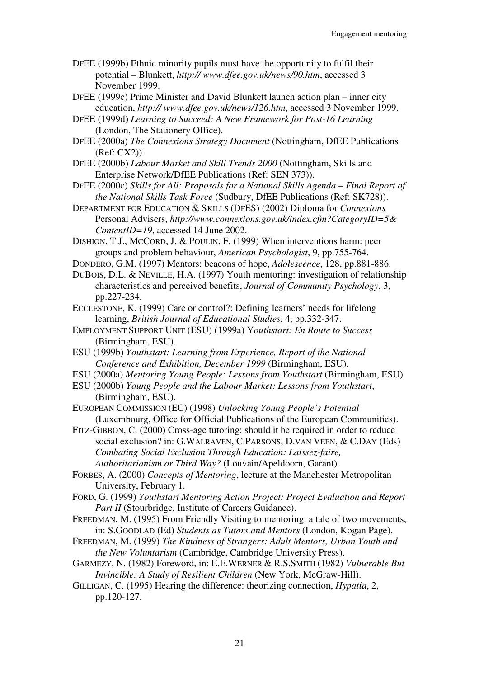- DFEE (1999b) Ethnic minority pupils must have the opportunity to fulfil their potential – Blunkett, *http:// www.dfee.gov.uk/news/90.htm*, accessed 3 November 1999.
- DFEE (1999c) Prime Minister and David Blunkett launch action plan inner city education, *http:// www.dfee.gov.uk/news/126.htm*, accessed 3 November 1999.
- DFEE (1999d) *Learning to Succeed: A New Framework for Post-16 Learning* (London, The Stationery Office).
- DFEE (2000a) *The Connexions Strategy Document* (Nottingham, DfEE Publications (Ref: CX2)).
- DFEE (2000b) *Labour Market and Skill Trends 2000* (Nottingham, Skills and Enterprise Network/DfEE Publications (Ref: SEN 373)).
- DFEE (2000c) *Skills for All: Proposals for a National Skills Agenda Final Report of the National Skills Task Force* (Sudbury, DfEE Publications (Ref: SK728)).
- DEPARTMENT FOR EDUCATION & SKILLS (DFES) (2002) Diploma for *Connexions*  Personal Advisers, *http://www.connexions.gov.uk/index.cfm?CategoryID=5& ContentID=19*, accessed 14 June 2002.
- DISHION, T.J., MCCORD, J. & POULIN, F. (1999) When interventions harm: peer groups and problem behaviour, *American Psychologist*, 9, pp.755-764.
- DONDERO, G.M. (1997) Mentors: beacons of hope, *Adolescence*, 128, pp.881-886.
- DUBOIS, D.L. & NEVILLE, H.A. (1997) Youth mentoring: investigation of relationship characteristics and perceived benefits, *Journal of Community Psychology*, 3, pp.227-234.
- ECCLESTONE, K. (1999) Care or control?: Defining learners' needs for lifelong learning, *British Journal of Educational Studies*, 4, pp.332-347.
- EMPLOYMENT SUPPORT UNIT (ESU) (1999a) Y*outhstart: En Route to Success* (Birmingham, ESU).
- ESU (1999b) *Youthstart: Learning from Experience, Report of the National Conference and Exhibition, December 1999* (Birmingham, ESU).
- ESU (2000a) *Mentoring Young People: Lessons from Youthstart* (Birmingham, ESU).
- ESU (2000b) *Young People and the Labour Market: Lessons from Youthstart*, (Birmingham, ESU).
- EUROPEAN COMMISSION (EC) (1998) *Unlocking Young People's Potential* (Luxembourg, Office for Official Publications of the European Communities).
- FITZ-GIBBON, C. (2000) Cross-age tutoring: should it be required in order to reduce social exclusion? in: G.WALRAVEN, C.PARSONS, D.VAN VEEN, & C.DAY (Eds) *Combating Social Exclusion Through Education: Laissez-faire, Authoritarianism or Third Way?* (Louvain/Apeldoorn, Garant).
- FORBES, A. (2000) *Concepts of Mentoring*, lecture at the Manchester Metropolitan University, February 1.
- FORD, G. (1999) *Youthstart Mentoring Action Project: Project Evaluation and Report Part II* (Stourbridge, Institute of Careers Guidance).
- FREEDMAN, M. (1995) From Friendly Visiting to mentoring: a tale of two movements, in: S.GOODLAD (Ed) *Students as Tutors and Mentors* (London, Kogan Page).
- FREEDMAN, M. (1999) *The Kindness of Strangers: Adult Mentors, Urban Youth and the New Voluntarism* (Cambridge, Cambridge University Press).
- GARMEZY, N. (1982) Foreword, in: E.E.WERNER & R.S.SMITH (1982) *Vulnerable But Invincible: A Study of Resilient Children* (New York, McGraw-Hill).
- GILLIGAN, C. (1995) Hearing the difference: theorizing connection, *Hypatia*, 2, pp.120-127.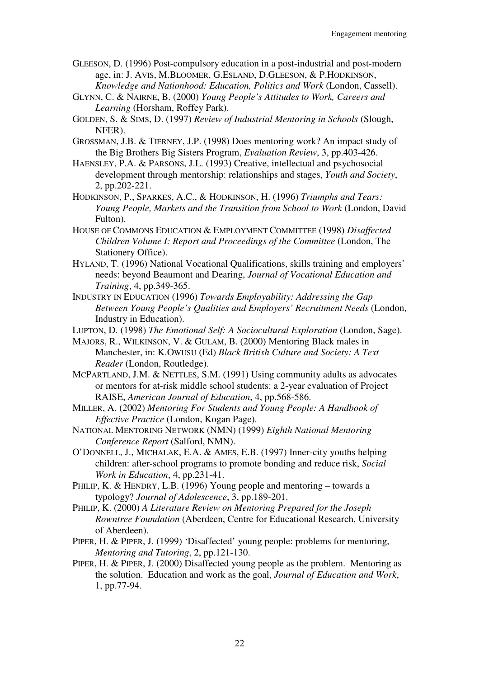- GLEESON, D. (1996) Post-compulsory education in a post-industrial and post-modern age, in: J. AVIS, M.BLOOMER, G.ESLAND, D.GLEESON, & P.HODKINSON, *Knowledge and Nationhood: Education, Politics and Work* (London, Cassell).
- GLYNN, C. & NAIRNE, B. (2000) *Young People's Attitudes to Work, Careers and Learning* (Horsham, Roffey Park).
- GOLDEN, S. & SIMS, D. (1997) *Review of Industrial Mentoring in Schools* (Slough, NFER).
- GROSSMAN, J.B. & TIERNEY, J.P. (1998) Does mentoring work? An impact study of the Big Brothers Big Sisters Program, *Evaluation Review*, 3, pp.403-426.
- HAENSLEY, P.A. & PARSONS, J.L. (1993) Creative, intellectual and psychosocial development through mentorship: relationships and stages, *Youth and Society*, 2, pp.202-221.
- HODKINSON, P., SPARKES, A.C., & HODKINSON, H. (1996) *Triumphs and Tears: Young People, Markets and the Transition from School to Work* (London, David Fulton).
- HOUSE OF COMMONS EDUCATION & EMPLOYMENT COMMITTEE (1998) *Disaffected Children Volume I: Report and Proceedings of the Committee* (London, The Stationery Office).
- HYLAND, T. (1996) National Vocational Qualifications, skills training and employers' needs: beyond Beaumont and Dearing, *Journal of Vocational Education and Training*, 4, pp.349-365.
- INDUSTRY IN EDUCATION (1996) *Towards Employability: Addressing the Gap Between Young People's Qualities and Employers' Recruitment Needs* (London, Industry in Education).

LUPTON, D. (1998) *The Emotional Self: A Sociocultural Exploration* (London, Sage).

- MAJORS, R., WILKINSON, V. & GULAM, B. (2000) Mentoring Black males in Manchester, in: K.OWUSU (Ed) *Black British Culture and Society: A Text Reader* (London, Routledge).
- MCPARTLAND, J.M. & NETTLES, S.M. (1991) Using community adults as advocates or mentors for at-risk middle school students: a 2-year evaluation of Project RAISE, *American Journal of Education*, 4, pp.568-586.
- MILLER, A. (2002) *Mentoring For Students and Young People: A Handbook of Effective Practice* (London, Kogan Page).
- NATIONAL MENTORING NETWORK (NMN) (1999) *Eighth National Mentoring Conference Report* (Salford, NMN).
- O'DONNELL, J., MICHALAK, E.A. & AMES, E.B. (1997) Inner-city youths helping children: after-school programs to promote bonding and reduce risk, *Social Work in Education*, 4, pp.231-41.
- PHILIP, K. & HENDRY, L.B. (1996) Young people and mentoring towards a typology? *Journal of Adolescence*, 3, pp.189-201.
- PHILIP, K. (2000) *A Literature Review on Mentoring Prepared for the Joseph Rowntree Foundation* (Aberdeen, Centre for Educational Research, University of Aberdeen).
- PIPER, H. & PIPER, J. (1999) 'Disaffected' young people: problems for mentoring, *Mentoring and Tutoring*, 2, pp.121-130.
- PIPER, H. & PIPER, J. (2000) Disaffected young people as the problem. Mentoring as the solution. Education and work as the goal, *Journal of Education and Work*, 1, pp.77-94.